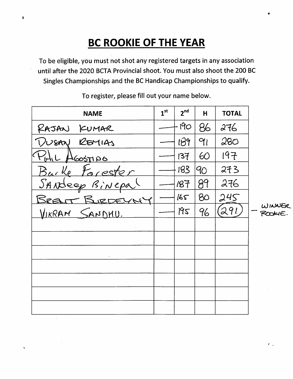### **BC ROOKIE OF THE YEAR**

 $\ddot{\textbf{3}}$ 

÷,

To be eligible, you must not shot any registered targets in any association until after the 2020 BCTA Provincial shoot. You must also shoot the 200 BC Singles Championships and the BC Handicap Championships to qualify.

| <b>NAME</b>     | $1^{\rm st}$ | 2 <sup>nd</sup> | H          | <b>TOTAL</b> |
|-----------------|--------------|-----------------|------------|--------------|
| RAJAN KUMAR     |              | 190             | 86         | 276          |
| DUSAN REMIAS    |              | 189             | $\gamma_1$ | 280          |
| Pohl AGOSTIDO   |              | 137             | 60         | 197          |
| Barke Forester  |              | 183             | 90         | 273          |
| SANdeep Binepal |              | 187             | 89         | 276          |
| BREATT BURDEYNY |              | 165             | 80         | 245          |
| VIKRAM SANDHU.  |              | 195             | 96         | (291)        |
|                 |              |                 |            |              |
|                 |              |                 |            |              |
|                 |              |                 |            |              |
|                 |              |                 |            |              |
|                 |              |                 |            |              |
|                 |              |                 |            |              |
|                 |              |                 |            |              |

To register, please fill out your name below.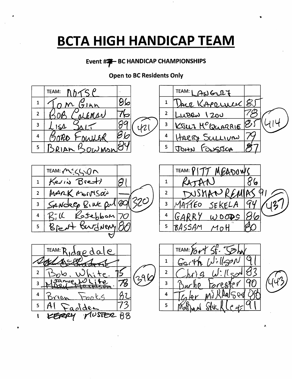## **BCTA HIGH HANDICAP TEAM**

#### Event ##- BC HANDICAP CHAMPIONSHIPS

#### **Open to BC Residents Only**

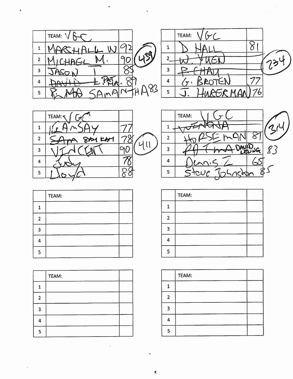

 $\bullet$ 





|                | TEAM: |  |
|----------------|-------|--|
| 1              |       |  |
| $\overline{2}$ |       |  |
| 3              |       |  |
| 4              |       |  |
| 5              |       |  |

|              | TEAM: |  |
|--------------|-------|--|
| 1            |       |  |
| $\mathbf{2}$ |       |  |
| 3            |       |  |
|              |       |  |
| 5            |       |  |

|                | TEAM: |  |
|----------------|-------|--|
| 1              |       |  |
| $\overline{2}$ |       |  |
| 3              |       |  |
| 4              |       |  |
| 5              |       |  |

|                         | TEAM: |  |
|-------------------------|-------|--|
| 1                       |       |  |
| $\overline{\mathbf{2}}$ |       |  |
| ຼາ                      |       |  |
| Δ                       |       |  |
| 5                       |       |  |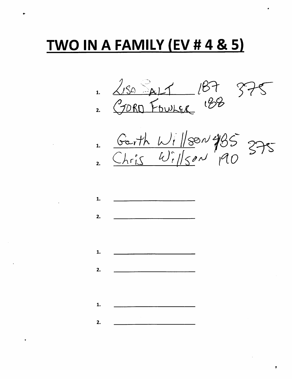# TWO IN A FAMILY (EV # 4 & 5)

1. 2150 ALT 187 875

1. Garth Willson 485 375

1.  $2.$  $1.$  $2.$ 1.  $2.$